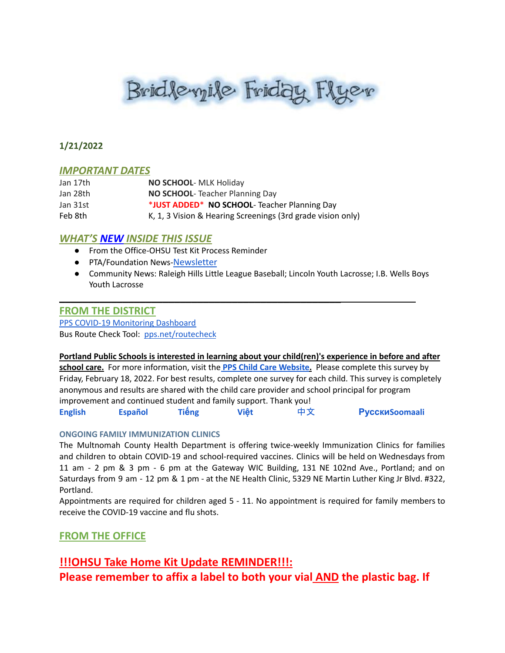# Bridlevyile Friday Flyer

### **1/21/2022**

#### *IMPORTANT DATES*

| Jan 17th | NO SCHOOL- MLK Holiday                                      |
|----------|-------------------------------------------------------------|
| Jan 28th | <b>NO SCHOOL-</b> Teacher Planning Day                      |
| Jan 31st | *JUST ADDED* NO SCHOOL- Teacher Planning Day                |
| Feb 8th  | K, 1, 3 Vision & Hearing Screenings (3rd grade vision only) |

\_\_\_\_\_\_\_\_\_\_\_\_\_\_\_\_\_\_\_\_\_\_\_\_\_\_\_\_\_\_\_\_\_\_\_\_\_\_\_\_\_\_\_\_\_\_\_\_\_

# *WHAT'S NEW INSIDE THIS ISSUE*

- From the Office-OHSU Test Kit Process Reminder
- PTA/Foundation News-[Newsletter](https://docs.google.com/document/u/1/d/e/2PACX-1vQlZCPHtKxqO7qpJwiwgoeaZ1ERHVLgg6z0JNYJMTulwn7xlOVY_X2I1ZV9nntsGHP57LEZ_uSufaFj/pub)
- Community News: Raleigh Hills Little League Baseball; Lincoln Youth Lacrosse; I.B. Wells Boys Youth Lacrosse

#### **FROM THE DISTRICT**

PPS COVID-19 [Monitoring](https://www.pps.net/COVID19Dashboard) Dashboard Bus Route Check Tool: [pps.net/routecheck](https://www.pps.net/routecheck)

#### **Portland Public Schools is interested in learning about your child(ren)'s experience in before and after**

**school care.** For more information, visit the **PPS Child Care [Website](https://www.pps.net/Domain/184).** Please complete this survey by Friday, February 18, 2022. For best results, complete one survey for each child. This survey is completely anonymous and results are shared with the child care provider and school principal for program improvement and continued student and family support. Thank you[!](https://docs.google.com/forms/d/e/1FAIpQLSe4ju_KHhNDrYUTpQspHOKeHsD30YX7RYNktKVNLNI1ucNepw/viewform) **[English](https://docs.google.com/forms/d/e/1FAIpQLSe4ju_KHhNDrYUTpQspHOKeHsD30YX7RYNktKVNLNI1ucNepw/viewform) [Español](https://docs.google.com/forms/d/e/1FAIpQLSfT162f9kmF2K4uFUCeqewRpLVSkIpIzp-Tj-3UrtpjUJC10A/viewform) Tiế[ng](https://docs.google.com/forms/d/e/1FAIpQLSf0XMr-Rb2DMgB6_FpBuoFk-jj__wrg64UwJMtLo0Cc-N2yzw/viewform) Việt** [中文](https://docs.google.com/forms/d/e/1FAIpQLSfwtKUiF46xdxHEOT7q2SE5Mv1-RN1LJZEtgrvzhQOtRVDiuw/viewform) **[Русски](https://docs.google.com/forms/d/e/1FAIpQLSebLU_9cDi8U-m8LxcMbt13b2FISUl9npq3zj9Jx0R7epIgYg/viewform)[Soomaali](https://docs.google.com/forms/d/e/1FAIpQLSee-BW5UjE-UACVQLN-oEQLaI5PwcaA0FswL5tMSqPZW09qlA/viewform)**

#### **ONGOING FAMILY IMMUNIZATION CLINICS**

The Multnomah County Health Department is offering twice-weekly Immunization Clinics for families and children to obtain COVID-19 and school-required vaccines. Clinics will be held on Wednesdays from 11 am - 2 pm & 3 pm - 6 pm at the Gateway WIC Building, 131 NE 102nd Ave., Portland; and on Saturdays from 9 am - 12 pm & 1 pm - at the NE Health Clinic, 5329 NE Martin Luther King Jr Blvd. #322, Portland.

Appointments are required for children aged 5 - 11. No appointment is required for family members to receive the COVID-19 vaccine and flu shots.

# **FROM THE OFFICE**

# **!!!OHSU Take Home Kit Update REMINDER!!!: Please remember to affix a label to both your vial AND the plastic bag. If**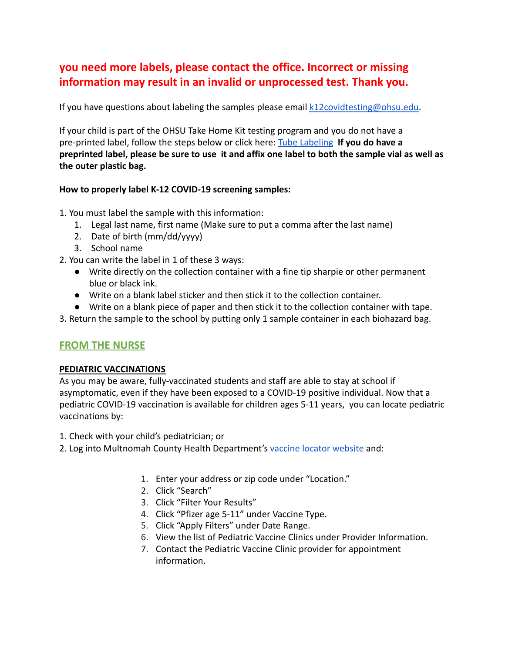# **you need more labels, please contact the office. Incorrect or missing information may result in an invalid or unprocessed test. Thank you.**

If you have questions about labeling the samples please email [k12covidtesting@ohsu.edu.](mailto:k12covidtesting@ohsu.edu)

If your child is part of the OHSU Take Home Kit testing program and you do not have a pre-printed label, follow the steps below or click here: [Tube Labeling](https://drive.google.com/file/d/12DJPgCLKGh6HKLIVwIbdY0qCuDRmFivT/view) **If you do have a preprinted label, please be sure to use it and affix one label to both the sample vial as well as the outer plastic bag.**

#### **How to properly label K-12 COVID-19 screening samples:**

- 1. You must label the sample with this information:
	- 1. Legal last name, first name (Make sure to put a comma after the last name)
	- 2. Date of birth (mm/dd/yyyy)
	- 3. School name
- 2. You can write the label in 1 of these 3 ways:
	- Write directly on the collection container with a fine tip sharpie or other permanent blue or black ink.
	- Write on a blank label sticker and then stick it to the collection container.
	- Write on a blank piece of paper and then stick it to the collection container with tape.
- 3. Return the sample to the school by putting only 1 sample container in each biohazard bag.

# **FROM THE NURSE**

#### **PEDIATRIC VACCINATIONS**

As you may be aware, fully-vaccinated students and staff are able to stay at school if asymptomatic, even if they have been exposed to a COVID-19 positive individual. Now that a pediatric COVID-19 vaccination is available for children ages 5-11 years, you can locate pediatric vaccinations by:

- 1. Check with your child's pediatrician; or
- 2. Log into Multnomah County Health Department's vaccine [locator website](https://getvaccinated.oregon.gov/#/locator) and:
	- 1. Enter your address or zip code under "Location."
	- 2. Click "Search"
	- 3. Click "Filter Your Results"
	- 4. Click "Pfizer age 5-11" under Vaccine Type.
	- 5. Click "Apply Filters" under Date Range.
	- 6. View the list of Pediatric Vaccine Clinics under Provider Information.
	- 7. Contact the Pediatric Vaccine Clinic provider for appointment information.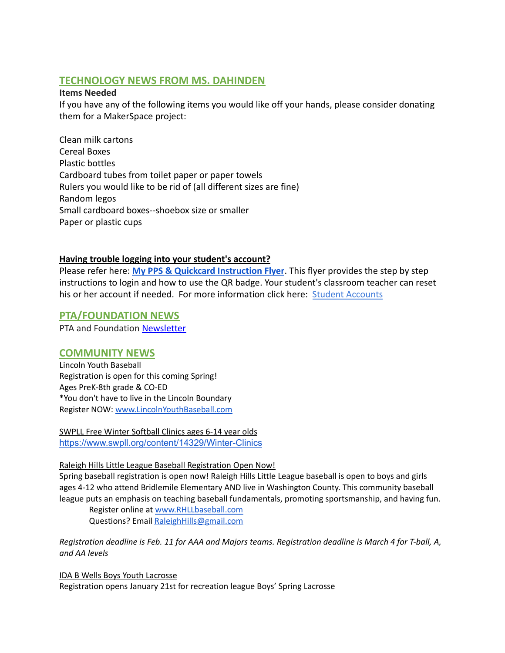# **TECHNOLOGY NEWS FROM MS. DAHINDEN**

#### **Items Needed**

If you have any of the following items you would like off your hands, please consider donating them for a MakerSpace project:

Clean milk cartons Cereal Boxes Plastic bottles Cardboard tubes from toilet paper or paper towels Rulers you would like to be rid of (all different sizes are fine) Random legos Small cardboard boxes--shoebox size or smaller Paper or plastic cups

#### **Having trouble logging into your student's account?**

Please refer here: **[My PPS & Quickcard Instruction](https://docs.google.com/presentation/d/19yIcV1uxbkuSpc0Gd_p5t0V--EJk0WPrv9ZbscbQiQU/edit?usp=sharing) Flyer**. This flyer provides the step by step instructions to login and how to use the QR badge. Your student's classroom teacher can reset his or her account if needed. For more information click here: [Student Accounts](https://www.pps.net/Page/1910)

#### **PTA/FOUNDATION NEWS**

PTA and Foundation [Newsletter](https://docs.google.com/document/u/1/d/e/2PACX-1vQlZCPHtKxqO7qpJwiwgoeaZ1ERHVLgg6z0JNYJMTulwn7xlOVY_X2I1ZV9nntsGHP57LEZ_uSufaFj/pub)

#### **COMMUNITY NEWS**

Lincoln Youth Baseball Registration is open for this coming Spring! Ages PreK-8th grade & CO-ED \*You don't have to live in the Lincoln Boundary Register NOW: [www.LincolnYouthBaseball.com](http://www.lincolnyouthbaseball.com/)

SWPLL Free Winter Softball Clinics ages 6-14 year olds <https://www.swpll.org/content/14329/Winter-Clinics>

#### Raleigh Hills Little League Baseball Registration Open Now!

Spring baseball registration is open now! Raleigh Hills Little League baseball is open to boys and girls ages 4-12 who attend Bridlemile Elementary AND live in Washington County. This community baseball league puts an emphasis on teaching baseball fundamentals, promoting sportsmanship, and having fun.

Register online at [www.RHLLbaseball.com](http://www.rhllbaseball.com/) Questions? Email RaleighHills@gmail.com

Registration deadline is Feb. 11 for AAA and Majors teams. Registration deadline is March 4 for T-ball, A, *and AA levels*

IDA B Wells Boys Youth Lacrosse Registration opens January 21st for recreation league Boys' Spring Lacrosse